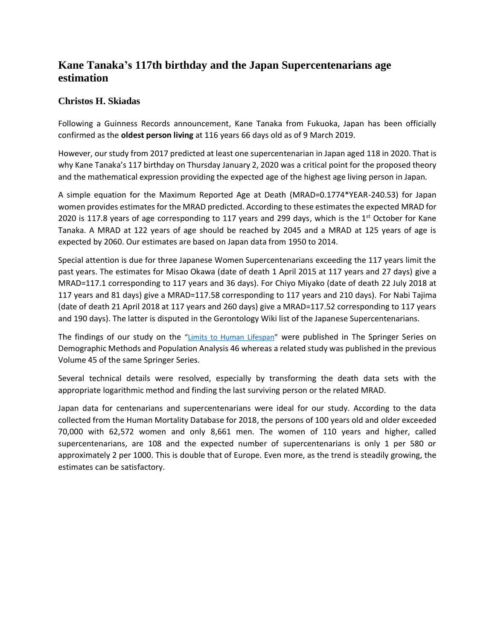## **Kane Tanaka's 117th birthday and the Japan Supercentenarians age estimation**

## **Christos H. Skiadas**

Following a Guinness Records announcement, Kane Tanaka from Fukuoka, Japan has been officially confirmed as the **oldest person living** at 116 years 66 days old as of 9 March 2019.

However, our study from 2017 predicted at least one supercentenarian in Japan aged 118 in 2020. That is why Kane Tanaka's 117 birthday on Thursday January 2, 2020 was a critical point for the proposed theory and the mathematical expression providing the expected age of the highest age living person in Japan.

A simple equation for the Maximum Reported Age at Death (MRAD=0.1774\*YEAR-240.53) for Japan women provides estimates for the MRAD predicted. According to these estimates the expected MRAD for 2020 is 117.8 years of age corresponding to 117 years and 299 days, which is the  $1<sup>st</sup>$  October for Kane Tanaka. A MRAD at 122 years of age should be reached by 2045 and a MRAD at 125 years of age is expected by 2060. Our estimates are based on Japan data from 1950 to 2014.

Special attention is due for three Japanese Women Supercentenarians exceeding the 117 years limit the past years. The estimates for Misao Okawa (date of death 1 April 2015 at 117 years and 27 days) give a MRAD=117.1 corresponding to 117 years and 36 days). For Chiyo Miyako (date of death 22 July 2018 at 117 years and 81 days) give a MRAD=117.58 corresponding to 117 years and 210 days). For Nabi Tajima (date of death 21 April 2018 at 117 years and 260 days) give a MRAD=117.52 corresponding to 117 years and 190 days). The latter is disputed in the Gerontology Wiki list of the Japanese Supercentenarians.

The findings of our study on the "[Limits to Human Lifespan](https://link.springer.com/chapter/10.1007/978-3-319-76002-5_2)" were published in The Springer Series on Demographic Methods and Population Analysis 46 whereas a related study was published in the previous Volume 45 of the same Springer Series.

Several technical details were resolved, especially by transforming the death data sets with the appropriate logarithmic method and finding the last surviving person or the related MRAD.

Japan data for centenarians and supercentenarians were ideal for our study. According to the data collected from the Human Mortality Database for 2018, the persons of 100 years old and older exceeded 70,000 with 62,572 women and only 8,661 men. The women of 110 years and higher, called supercentenarians, are 108 and the expected number of supercentenarians is only 1 per 580 or approximately 2 per 1000. This is double that of Europe. Even more, as the trend is steadily growing, the estimates can be satisfactory.